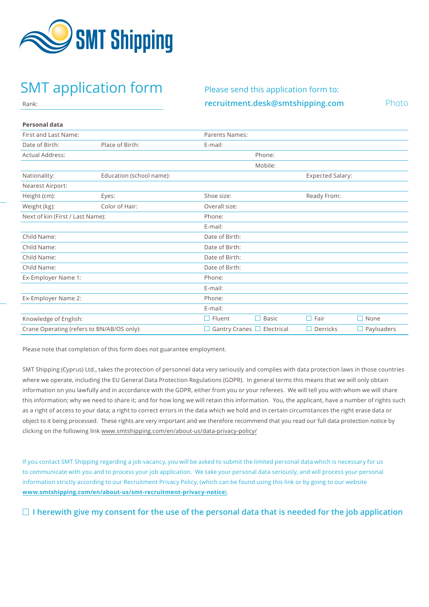

# SMT application form Please send this application form to:

**[recruitment.desk@smtshipping.com](mailto:recruitment.desk@smtshipping.com)** Photo

## **Personal data**

Rank:

| Personal data                              |                          |                       |                   |                          |            |
|--------------------------------------------|--------------------------|-----------------------|-------------------|--------------------------|------------|
| First and Last Name:                       |                          | <b>Parents Names:</b> |                   |                          |            |
| Date of Birth:                             | Place of Birth:          | E-mail:               |                   |                          |            |
| Actual Address:                            |                          |                       | Phone:            |                          |            |
|                                            |                          |                       | Mobile:           |                          |            |
| Nationality:                               | Education (school name): |                       |                   | <b>Expected Salary:</b>  |            |
| Nearest Airport:                           |                          |                       |                   |                          |            |
| Height (cm):                               | Eyes:                    | Shoe size:            |                   | Ready From:              |            |
| Weight (kg):                               | Color of Hair:           | Overall size:         |                   |                          |            |
| Next of kin (First / Last Name):           |                          | Phone:                |                   |                          |            |
|                                            |                          | E-mail:               |                   |                          |            |
| Child Name:                                |                          | Date of Birth:        |                   |                          |            |
| Child Name:                                |                          | Date of Birth:        |                   |                          |            |
| Child Name:                                |                          | Date of Birth:        |                   |                          |            |
| Child Name:                                |                          | Date of Birth:        |                   |                          |            |
| Ex-Employer Name 1:                        |                          | Phone:                |                   |                          |            |
|                                            |                          | E-mail:               |                   |                          |            |
| Ex-Employer Name 2:                        |                          | Phone:                |                   |                          |            |
|                                            |                          | E-mail:               |                   |                          |            |
| Knowledge of English:                      |                          | $\Box$ Fluent         | П<br><b>Basic</b> | П<br>Fair                | П<br>None  |
| Crane Operating (refers to BN/AB/OS only): |                          | Gantry Cranes $\Box$  | Electrical        | Derricks<br>$\mathbf{L}$ | Payloaders |

Please note that completion of this form does not guarantee employment.

SMT Shipping (Cyprus) Ltd., takes the protection of personnel data very seriously and complies with data protection laws in those countries where we operate, including the EU General Data Protection Regulations (GDPR). In general terms this means that we will only obtain information on you lawfully and in accordance with the GDPR, either from you or your referees. We will tell you with whom we will share this information; why we need to share it; and for how long we will retain this information. You, the applicant, have a number of rights such as a right of access to your data; a right to correct errors in the data which we hold and in certain circumstances the right erase data or object to it being processed. These rights are very important and we therefore recommend that you read our full data protection notice by clicking on the following link [www.smtshipping.com/en/about-us/data-privacy-policy/](http://www.smtshipping.com/en/about-us/data-privacy-policy/)

If you contact SMT Shipping regarding a job vacancy, you will be asked to submit the limited personal data which is necessary for us to communicate with you and to process your job application. We take your personal data seriously, and will process your personal information strictly according to our Recruitment Privacy Policy, (which can be found using this link or by going to our website **[www.smtshipping.com/en/about-us/smt-recruitment-privacy-notice](http://www.smtshipping.com/en/about-us/smt-recruitment-privacy-notice)**).

## **I herewith give my consent for the use of the personal data that is needed for the job application**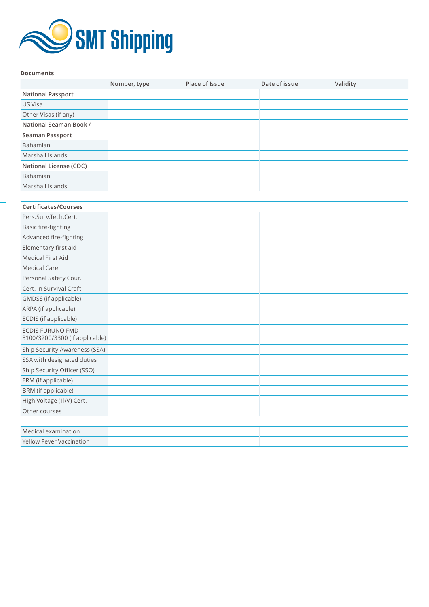

### **Documents**

|                                                           | Number, type | Place of Issue | Date of issue | Validity |
|-----------------------------------------------------------|--------------|----------------|---------------|----------|
| <b>National Passport</b>                                  |              |                |               |          |
| US Visa                                                   |              |                |               |          |
| Other Visas (if any)                                      |              |                |               |          |
| National Seaman Book /                                    |              |                |               |          |
| Seaman Passport                                           |              |                |               |          |
| Bahamian                                                  |              |                |               |          |
| Marshall Islands                                          |              |                |               |          |
| National License (COC)                                    |              |                |               |          |
| Bahamian                                                  |              |                |               |          |
| Marshall Islands                                          |              |                |               |          |
|                                                           |              |                |               |          |
| <b>Certificates/Courses</b>                               |              |                |               |          |
| Pers.Surv.Tech.Cert.                                      |              |                |               |          |
| Basic fire-fighting                                       |              |                |               |          |
| Advanced fire-fighting                                    |              |                |               |          |
| Elementary first aid                                      |              |                |               |          |
| <b>Medical First Aid</b>                                  |              |                |               |          |
| <b>Medical Care</b>                                       |              |                |               |          |
| Personal Safety Cour.                                     |              |                |               |          |
| Cert. in Survival Craft                                   |              |                |               |          |
| GMDSS (if applicable)                                     |              |                |               |          |
| ARPA (if applicable)                                      |              |                |               |          |
| ECDIS (if applicable)                                     |              |                |               |          |
| <b>ECDIS FURUNO FMD</b><br>3100/3200/3300 (if applicable) |              |                |               |          |
| Ship Security Awareness (SSA)                             |              |                |               |          |
| SSA with designated duties                                |              |                |               |          |
| Ship Security Officer (SSO)                               |              |                |               |          |
| ERM (if applicable)                                       |              |                |               |          |
| BRM (if applicable)                                       |              |                |               |          |
| High Voltage (1kV) Cert.                                  |              |                |               |          |
| Other courses                                             |              |                |               |          |
|                                                           |              |                |               |          |
| Medical examination                                       |              |                |               |          |
| <b>Yellow Fever Vaccination</b>                           |              |                |               |          |